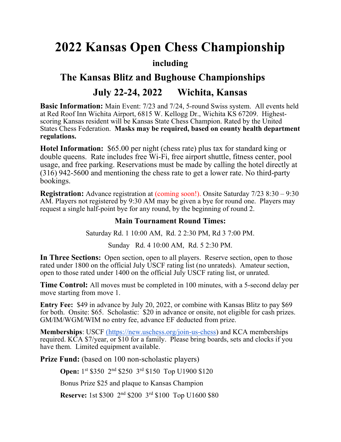# 2022 Kansas Open Chess Championship

### including

## The Kansas Blitz and Bughouse Championships July 22-24, 2022 Wichita, Kansas

Basic Information: Main Event: 7/23 and 7/24, 5-round Swiss system. All events held at Red Roof Inn Wichita Airport, 6815 W. Kellogg Dr., Wichita KS 67209. Highestscoring Kansas resident will be Kansas State Chess Champion. Rated by the United States Chess Federation. Masks may be required, based on county health department regulations.

Hotel Information: \$65.00 per night (chess rate) plus tax for standard king or double queens. Rate includes free Wi-Fi, free airport shuttle, fitness center, pool usage, and free parking. Reservations must be made by calling the hotel directly at (316) 942-5600 and mentioning the chess rate to get a lower rate. No third-party bookings.

Registration: Advance registration at (coming soon!). Onsite Saturday 7/23 8:30 – 9:30 AM. Players not registered by 9:30 AM may be given a bye for round one. Players may request a single half-point bye for any round, by the beginning of round 2.

### Main Tournament Round Times:

Saturday Rd. 1 10:00 AM, Rd. 2 2:30 PM, Rd 3 7:00 PM.

Sunday Rd. 4 10:00 AM, Rd. 5 2:30 PM.

In Three Sections: Open section, open to all players. Reserve section, open to those rated under 1800 on the official July USCF rating list (no unrateds). Amateur section, open to those rated under 1400 on the official July USCF rating list, or unrated.

Time Control: All moves must be completed in 100 minutes, with a 5-second delay per move starting from move 1.

Entry Fee: \$49 in advance by July 20, 2022, or combine with Kansas Blitz to pay \$69 for both. Onsite: \$65. Scholastic: \$20 in advance or onsite, not eligible for cash prizes. GM/IM/WGM/WIM no entry fee, advance EF deducted from prize.

Memberships: USCF (https://new.uschess.org/join-us-chess) and KCA memberships required. KCA \$7/year, or \$10 for a family. Please bring boards, sets and clocks if you have them. Limited equipment available.

Prize Fund: (based on 100 non-scholastic players)

Open: 1<sup>st</sup> \$350 2<sup>nd</sup> \$250 3<sup>rd</sup> \$150 Top U1900 \$120

Bonus Prize \$25 and plaque to Kansas Champion

Reserve: 1st \$300 2nd \$200 3rd \$100 Top U1600 \$80